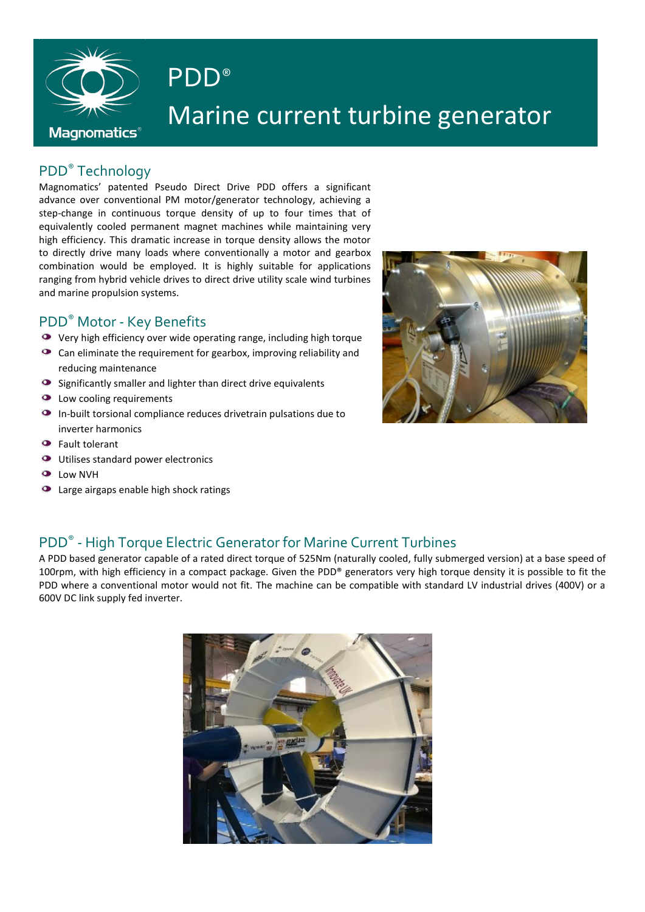

# PDD® Marine current turbine generator

## PDD® Technology

Magnomatics' patented Pseudo Direct Drive PDD offers a significant advance over conventional PM motor/generator technology, achieving a step-change in continuous torque density of up to four times that of equivalently cooled permanent magnet machines while maintaining very high efficiency. This dramatic increase in torque density allows the motor to directly drive many loads where conventionally a motor and gearbox combination would be employed. It is highly suitable for applications ranging from hybrid vehicle drives to direct drive utility scale wind turbines and marine propulsion systems.

#### PDD® Motor - Key Benefits

- Very high efficiency over wide operating range, including high torque
- Can eliminate the requirement for gearbox, improving reliability and reducing maintenance
- $\bullet$  Significantly smaller and lighter than direct drive equivalents
- **O** Low cooling requirements
- In-built torsional compliance reduces drivetrain pulsations due to inverter harmonics
- Fault tolerant
- **O** Utilises standard power electronics
- **O** Low NVH
- **O** Large airgaps enable high shock ratings



## PDD<sup>®</sup> - High Torque Electric Generator for Marine Current Turbines

A PDD based generator capable of a rated direct torque of 525Nm (naturally cooled, fully submerged version) at a base speed of 100rpm, with high efficiency in a compact package. Given the PDD® generators very high torque density it is possible to fit the PDD where a conventional motor would not fit. The machine can be compatible with standard LV industrial drives (400V) or a 600V DC link supply fed inverter.